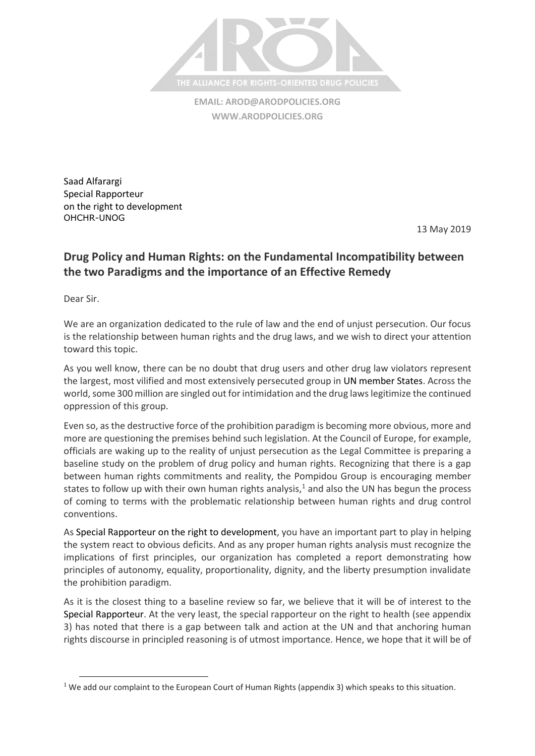

**EMAIL: [AROD@ARODPOLICIES.ORG](mailto:AROD@ARODPOLICIES.ORG) [WWW.ARODPOLICIES.ORG](http://www.arodpolicies.org/)**

Saad Alfarargi Special Rapporteur on the right to development OHCHR-UNOG

13 May 2019

## **Drug Policy and Human Rights: on the Fundamental Incompatibility between the two Paradigms and the importance of an Effective Remedy**

Dear Sir.

 $\overline{a}$ 

We are an organization dedicated to the rule of law and the end of unjust persecution. Our focus is the relationship between human rights and the drug laws, and we wish to direct your attention toward this topic.

As you well know, there can be no doubt that drug users and other drug law violators represent the largest, most vilified and most extensively persecuted group in UN member States. Across the world, some 300 million are singled out for intimidation and the drug laws legitimize the continued oppression of this group.

Even so, as the destructive force of the prohibition paradigm is becoming more obvious, more and more are questioning the premises behind such legislation. At the Council of Europe, for example, officials are waking up to the reality of unjust persecution as the Legal Committee is preparing a baseline study on the problem of drug policy and human rights. Recognizing that there is a gap between human rights commitments and reality, the Pompidou Group is encouraging member states to follow up with their own human rights analysis, $1$  and also the UN has begun the process of coming to terms with the problematic relationship between human rights and drug control conventions.

As Special Rapporteur on the right to development, you have an important part to play in helping the system react to obvious deficits. And as any proper human rights analysis must recognize the implications of first principles, our organization has completed a report demonstrating how principles of autonomy, equality, proportionality, dignity, and the liberty presumption invalidate the prohibition paradigm.

As it is the closest thing to a baseline review so far, we believe that it will be of interest to the Special Rapporteur. At the very least, the special rapporteur on the right to health (see appendix 3) has noted that there is a gap between talk and action at the UN and that anchoring human rights discourse in principled reasoning is of utmost importance. Hence, we hope that it will be of

<sup>&</sup>lt;sup>1</sup> We add our complaint to the European Court of Human Rights (appendix 3) which speaks to this situation.